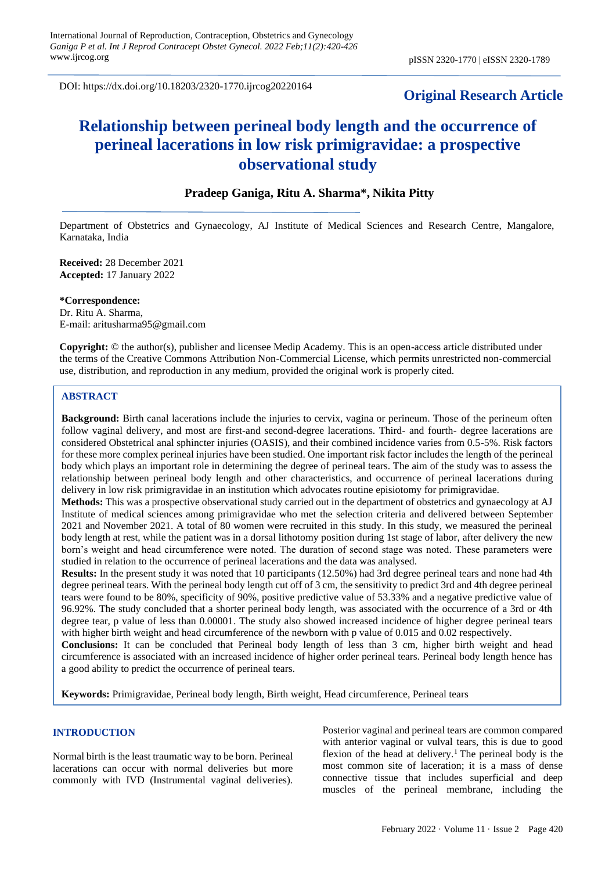DOI: https://dx.doi.org/10.18203/2320-1770.ijrcog20220164

# **Original Research Article**

# **Relationship between perineal body length and the occurrence of perineal lacerations in low risk primigravidae: a prospective observational study**

## **Pradeep Ganiga, Ritu A. Sharma\*, Nikita Pitty**

Department of Obstetrics and Gynaecology, AJ Institute of Medical Sciences and Research Centre, Mangalore, Karnataka, India

**Received:** 28 December 2021 **Accepted:** 17 January 2022

**\*Correspondence:** Dr. Ritu A. Sharma, E-mail: aritusharma95@gmail.com

**Copyright:** © the author(s), publisher and licensee Medip Academy. This is an open-access article distributed under the terms of the Creative Commons Attribution Non-Commercial License, which permits unrestricted non-commercial use, distribution, and reproduction in any medium, provided the original work is properly cited.

## **ABSTRACT**

**Background:** Birth canal lacerations include the injuries to cervix, vagina or perineum. Those of the perineum often follow vaginal delivery, and most are first-and second-degree lacerations. Third- and fourth- degree lacerations are considered Obstetrical anal sphincter injuries (OASIS), and their combined incidence varies from 0.5-5%. Risk factors for these more complex perineal injuries have been studied. One important risk factor includes the length of the perineal body which plays an important role in determining the degree of perineal tears. The aim of the study was to assess the relationship between perineal body length and other characteristics, and occurrence of perineal lacerations during delivery in low risk primigravidae in an institution which advocates routine episiotomy for primigravidae.

**Methods:** This was a prospective observational study carried out in the department of obstetrics and gynaecology at AJ Institute of medical sciences among primigravidae who met the selection criteria and delivered between September 2021 and November 2021. A total of 80 women were recruited in this study. In this study, we measured the perineal body length at rest, while the patient was in a dorsal lithotomy position during 1st stage of labor, after delivery the new born's weight and head circumference were noted. The duration of second stage was noted. These parameters were studied in relation to the occurrence of perineal lacerations and the data was analysed.

**Results:** In the present study it was noted that 10 participants (12.50%) had 3rd degree perineal tears and none had 4th degree perineal tears. With the perineal body length cut off of 3 cm, the sensitivity to predict 3rd and 4th degree perineal tears were found to be 80%, specificity of 90%, positive predictive value of 53.33% and a negative predictive value of 96.92%. The study concluded that a shorter perineal body length, was associated with the occurrence of a 3rd or 4th degree tear, p value of less than 0.00001. The study also showed increased incidence of higher degree perineal tears with higher birth weight and head circumference of the newborn with p value of 0.015 and 0.02 respectively.

**Conclusions:** It can be concluded that Perineal body length of less than 3 cm, higher birth weight and head circumference is associated with an increased incidence of higher order perineal tears. Perineal body length hence has a good ability to predict the occurrence of perineal tears.

**Keywords:** Primigravidae, Perineal body length, Birth weight, Head circumference, Perineal tears

## **INTRODUCTION**

Normal birth is the least traumatic way to be born. Perineal lacerations can occur with normal deliveries but more commonly with IVD (Instrumental vaginal deliveries).

Posterior vaginal and perineal tears are common compared with anterior vaginal or vulval tears, this is due to good flexion of the head at delivery.<sup>1</sup> The perineal body is the most common site of laceration; it is a mass of dense connective tissue that includes superficial and deep muscles of the perineal membrane, including the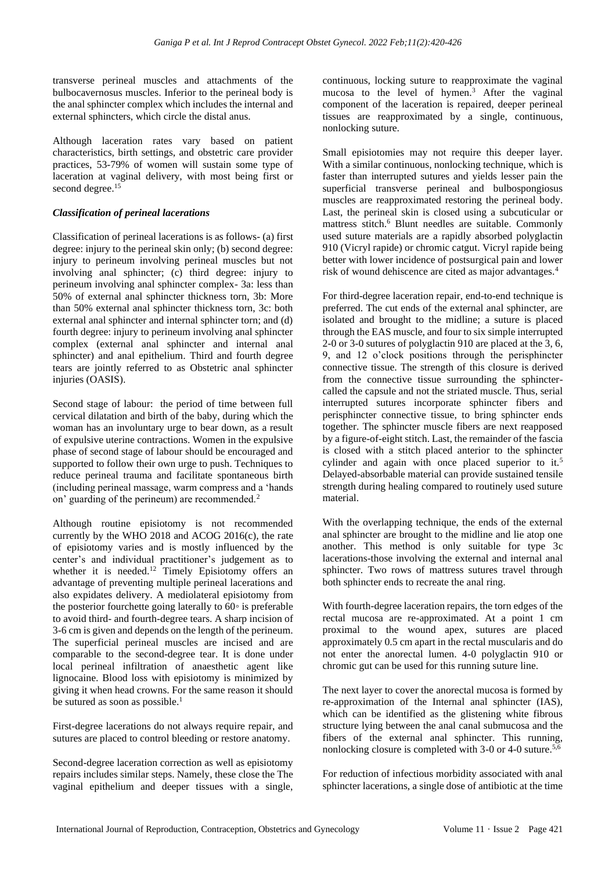transverse perineal muscles and attachments of the bulbocavernosus muscles. Inferior to the perineal body is the anal sphincter complex which includes the internal and external sphincters, which circle the distal anus.

Although laceration rates vary based on patient characteristics, birth settings, and obstetric care provider practices, 53-79% of women will sustain some type of laceration at vaginal delivery, with most being first or second degree.<sup>15</sup>

## *Classification of perineal lacerations*

Classification of perineal lacerations is as follows- (a) first degree: injury to the perineal skin only; (b) second degree: injury to perineum involving perineal muscles but not involving anal sphincter; (c) third degree: injury to perineum involving anal sphincter complex- 3a: less than 50% of external anal sphincter thickness torn, 3b: More than 50% external anal sphincter thickness torn, 3c: both external anal sphincter and internal sphincter torn; and (d) fourth degree: injury to perineum involving anal sphincter complex (external anal sphincter and internal anal sphincter) and anal epithelium. Third and fourth degree tears are jointly referred to as Obstetric anal sphincter injuries (OASIS).

Second stage of labour: the period of time between full cervical dilatation and birth of the baby, during which the woman has an involuntary urge to bear down, as a result of expulsive uterine contractions. Women in the expulsive phase of second stage of labour should be encouraged and supported to follow their own urge to push. Techniques to reduce perineal trauma and facilitate spontaneous birth (including perineal massage, warm compress and a 'hands on' guarding of the perineum) are recommended.<sup>2</sup>

Although routine episiotomy is not recommended currently by the WHO 2018 and ACOG 2016(c), the rate of episiotomy varies and is mostly influenced by the center's and individual practitioner's judgement as to whether it is needed.<sup>12</sup> Timely Episiotomy offers an advantage of preventing multiple perineal lacerations and also expidates delivery. A mediolateral episiotomy from the posterior fourchette going laterally to  $60\degree$  is preferable to avoid third- and fourth-degree tears. A sharp incision of 3-6 cm is given and depends on the length of the perineum. The superficial perineal muscles are incised and are comparable to the second-degree tear. It is done under local perineal infiltration of anaesthetic agent like lignocaine. Blood loss with episiotomy is minimized by giving it when head crowns. For the same reason it should be sutured as soon as possible.<sup>1</sup>

First-degree lacerations do not always require repair, and sutures are placed to control bleeding or restore anatomy.

Second-degree laceration correction as well as episiotomy repairs includes similar steps. Namely, these close the The vaginal epithelium and deeper tissues with a single, continuous, locking suture to reapproximate the vaginal mucosa to the level of hymen.<sup>3</sup> After the vaginal component of the laceration is repaired, deeper perineal tissues are reapproximated by a single, continuous, nonlocking suture.

Small episiotomies may not require this deeper layer. With a similar continuous, nonlocking technique, which is faster than interrupted sutures and yields lesser pain the superficial transverse perineal and bulbospongiosus muscles are reapproximated restoring the perineal body. Last, the perineal skin is closed using a subcuticular or mattress stitch.<sup>6</sup> Blunt needles are suitable. Commonly used suture materials are a rapidly absorbed polyglactin 910 (Vicryl rapide) or chromic catgut. Vicryl rapide being better with lower incidence of postsurgical pain and lower risk of wound dehiscence are cited as major advantages.<sup>4</sup>

For third-degree laceration repair, end-to-end technique is preferred. The cut ends of the external anal sphincter, are isolated and brought to the midline; a suture is placed through the EAS muscle, and four to six simple interrupted 2-0 or 3-0 sutures of polyglactin 910 are placed at the 3, 6, 9, and 12 o'clock positions through the perisphincter connective tissue. The strength of this closure is derived from the connective tissue surrounding the sphinctercalled the capsule and not the striated muscle. Thus, serial interrupted sutures incorporate sphincter fibers and perisphincter connective tissue, to bring sphincter ends together. The sphincter muscle fibers are next reapposed by a figure-of-eight stitch. Last, the remainder of the fascia is closed with a stitch placed anterior to the sphincter cylinder and again with once placed superior to it.<sup>5</sup> Delayed-absorbable material can provide sustained tensile strength during healing compared to routinely used suture material.

With the overlapping technique, the ends of the external anal sphincter are brought to the midline and lie atop one another. This method is only suitable for type 3c lacerations-those involving the external and internal anal sphincter. Two rows of mattress sutures travel through both sphincter ends to recreate the anal ring.

With fourth-degree laceration repairs, the torn edges of the rectal mucosa are re-approximated. At a point 1 cm proximal to the wound apex, sutures are placed approximately 0.5 cm apart in the rectal muscularis and do not enter the anorectal lumen. 4-0 polyglactin 910 or chromic gut can be used for this running suture line.

The next layer to cover the anorectal mucosa is formed by re-approximation of the Internal anal sphincter (IAS), which can be identified as the glistening white fibrous structure lying between the anal canal submucosa and the fibers of the external anal sphincter. This running, nonlocking closure is completed with 3-0 or 4-0 suture.<sup>5,6</sup>

For reduction of infectious morbidity associated with anal sphincter lacerations, a single dose of antibiotic at the time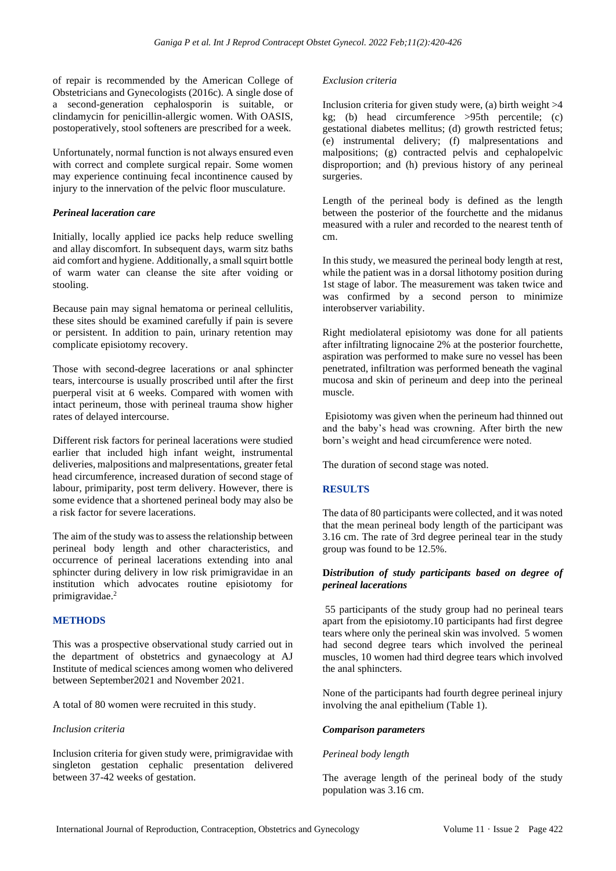of repair is recommended by the American College of Obstetricians and Gynecologists (2016c). A single dose of a second-generation cephalosporin is suitable, or clindamycin for penicillin-allergic women. With OASIS, postoperatively, stool softeners are prescribed for a week.

Unfortunately, normal function is not always ensured even with correct and complete surgical repair. Some women may experience continuing fecal incontinence caused by injury to the innervation of the pelvic floor musculature.

## *Perineal laceration care*

Initially, locally applied ice packs help reduce swelling and allay discomfort. In subsequent days, warm sitz baths aid comfort and hygiene. Additionally, a small squirt bottle of warm water can cleanse the site after voiding or stooling.

Because pain may signal hematoma or perineal cellulitis, these sites should be examined carefully if pain is severe or persistent. In addition to pain, urinary retention may complicate episiotomy recovery.

Those with second-degree lacerations or anal sphincter tears, intercourse is usually proscribed until after the first puerperal visit at 6 weeks. Compared with women with intact perineum, those with perineal trauma show higher rates of delayed intercourse.

Different risk factors for perineal lacerations were studied earlier that included high infant weight, instrumental deliveries, malpositions and malpresentations, greater fetal head circumference, increased duration of second stage of labour, primiparity, post term delivery. However, there is some evidence that a shortened perineal body may also be a risk factor for severe lacerations.

The aim of the study was to assess the relationship between perineal body length and other characteristics, and occurrence of perineal lacerations extending into anal sphincter during delivery in low risk primigravidae in an institution which advocates routine episiotomy for primigravidae.<sup>2</sup>

## **METHODS**

This was a prospective observational study carried out in the department of obstetrics and gynaecology at AJ Institute of medical sciences among women who delivered between September2021 and November 2021.

A total of 80 women were recruited in this study.

#### *Inclusion criteria*

Inclusion criteria for given study were, primigravidae with singleton gestation cephalic presentation delivered between 37-42 weeks of gestation.

#### *Exclusion criteria*

Inclusion criteria for given study were, (a) birth weight  $>4$ kg; (b) head circumference >95th percentile; (c) gestational diabetes mellitus; (d) growth restricted fetus; (e) instrumental delivery; (f) malpresentations and malpositions; (g) contracted pelvis and cephalopelvic disproportion; and (h) previous history of any perineal surgeries.

Length of the perineal body is defined as the length between the posterior of the fourchette and the midanus measured with a ruler and recorded to the nearest tenth of cm.

In this study, we measured the perineal body length at rest, while the patient was in a dorsal lithotomy position during 1st stage of labor. The measurement was taken twice and was confirmed by a second person to minimize interobserver variability.

Right mediolateral episiotomy was done for all patients after infiltrating lignocaine 2% at the posterior fourchette, aspiration was performed to make sure no vessel has been penetrated, infiltration was performed beneath the vaginal mucosa and skin of perineum and deep into the perineal muscle.

Episiotomy was given when the perineum had thinned out and the baby's head was crowning. After birth the new born's weight and head circumference were noted.

The duration of second stage was noted.

#### **RESULTS**

The data of 80 participants were collected, and it was noted that the mean perineal body length of the participant was 3.16 cm. The rate of 3rd degree perineal tear in the study group was found to be 12.5%.

## **D***istribution of study participants based on degree of perineal lacerations*

55 participants of the study group had no perineal tears apart from the episiotomy.10 participants had first degree tears where only the perineal skin was involved. 5 women had second degree tears which involved the perineal muscles, 10 women had third degree tears which involved the anal sphincters.

None of the participants had fourth degree perineal injury involving the anal epithelium (Table 1).

## *Comparison parameters*

#### *Perineal body length*

The average length of the perineal body of the study population was 3.16 cm.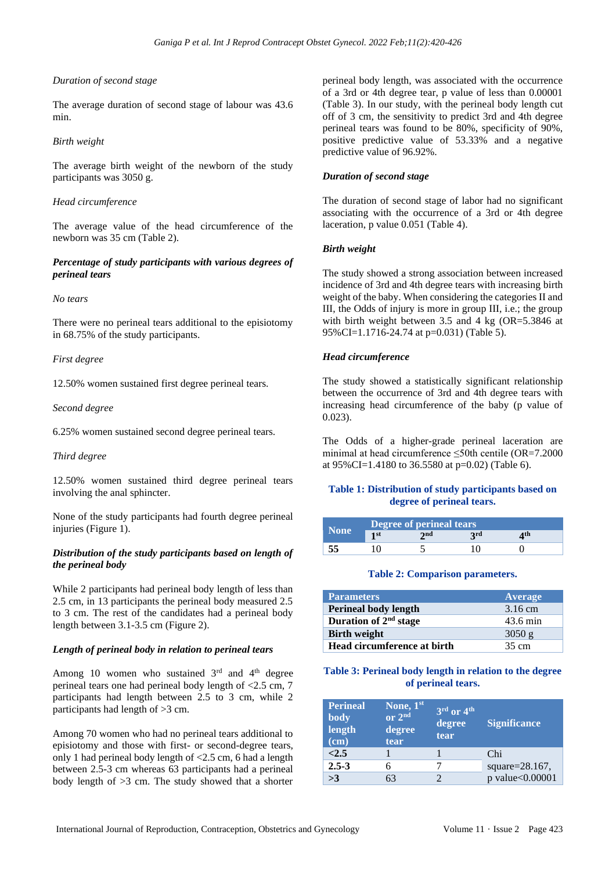## *Duration of second stage*

The average duration of second stage of labour was 43.6 min.

#### *Birth weight*

The average birth weight of the newborn of the study participants was 3050 g.

#### *Head circumference*

The average value of the head circumference of the newborn was 35 cm (Table 2).

### *Percentage of study participants with various degrees of perineal tears*

#### *No tears*

There were no perineal tears additional to the episiotomy in 68.75% of the study participants.

#### *First degree*

12.50% women sustained first degree perineal tears.

#### *Second degree*

6.25% women sustained second degree perineal tears.

#### *Third degree*

12.50% women sustained third degree perineal tears involving the anal sphincter.

None of the study participants had fourth degree perineal injuries (Figure 1).

## *Distribution of the study participants based on length of the perineal body*

While 2 participants had perineal body length of less than 2.5 cm, in 13 participants the perineal body measured 2.5 to 3 cm. The rest of the candidates had a perineal body length between 3.1-3.5 cm (Figure 2).

## *Length of perineal body in relation to perineal tears*

Among 10 women who sustained  $3<sup>rd</sup>$  and  $4<sup>th</sup>$  degree perineal tears one had perineal body length of <2.5 cm, 7 participants had length between 2.5 to 3 cm, while 2 participants had length of >3 cm.

Among 70 women who had no perineal tears additional to episiotomy and those with first- or second-degree tears, only 1 had perineal body length of <2.5 cm, 6 had a length between 2.5-3 cm whereas 63 participants had a perineal body length of >3 cm. The study showed that a shorter

perineal body length, was associated with the occurrence of a 3rd or 4th degree tear, p value of less than 0.00001 (Table 3). In our study, with the perineal body length cut off of 3 cm, the sensitivity to predict 3rd and 4th degree perineal tears was found to be 80%, specificity of 90%, positive predictive value of 53.33% and a negative predictive value of 96.92%.

#### *Duration of second stage*

The duration of second stage of labor had no significant associating with the occurrence of a 3rd or 4th degree laceration, p value 0.051 (Table 4).

#### *Birth weight*

The study showed a strong association between increased incidence of 3rd and 4th degree tears with increasing birth weight of the baby. When considering the categories II and III, the Odds of injury is more in group III, i.e.; the group with birth weight between 3.5 and 4 kg (OR=5.3846 at 95%CI=1.1716-24.74 at p=0.031) (Table 5).

#### *Head circumference*

The study showed a statistically significant relationship between the occurrence of 3rd and 4th degree tears with increasing head circumference of the baby (p value of 0.023).

The Odds of a higher-grade perineal laceration are minimal at head circumference ≤50th centile (OR=7.2000 at 95%CI=1.4180 to 36.5580 at p=0.02) (Table 6).

## **Table 1: Distribution of study participants based on degree of perineal tears.**

|             | Degree of perineal tears |     |            |     |  |
|-------------|--------------------------|-----|------------|-----|--|
| <b>None</b> | 1st                      | 2nd | <b>2rd</b> | 4th |  |
|             |                          |     |            |     |  |

#### **Table 2: Comparison parameters.**

| <b>Parameters</b>                 | Average            |
|-----------------------------------|--------------------|
| <b>Perineal body length</b>       | $3.16 \text{ cm}$  |
| Duration of 2 <sup>nd</sup> stage | $43.6 \text{ min}$ |
| <b>Birth weight</b>               | 3050 g             |
| Head circumference at birth       | 35 cm              |

## **Table 3: Perineal body length in relation to the degree of perineal tears.**

| <b>Perineal</b><br>body<br>length<br>(cm) | $\overline{\mathbf{None}}, \mathbf{1^{st}}$<br>or 2nd<br>degree<br>tear | $3rd$ or $4th$<br>degree<br>tear | <b>Significance</b> |
|-------------------------------------------|-------------------------------------------------------------------------|----------------------------------|---------------------|
| <2.5                                      |                                                                         |                                  | Chi                 |
| $2.5 - 3$                                 |                                                                         |                                  | square=28.167,      |
| >3                                        | 63                                                                      |                                  | p value<0.00001     |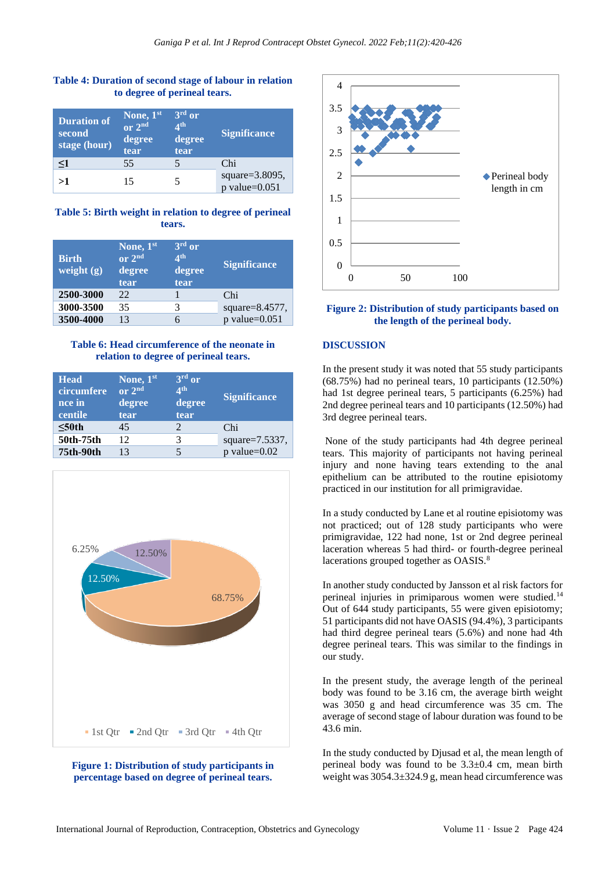## **Table 4: Duration of second stage of labour in relation to degree of perineal tears.**

| <b>Duration of</b><br>second<br>stage (hour) | None, 1st<br>or $2nd$<br>degree<br>tear | 3rd or<br>$\mathbf{\Lambda}$ th<br>degree<br>tear | <b>Significance</b>                  |
|----------------------------------------------|-----------------------------------------|---------------------------------------------------|--------------------------------------|
| $\leq$ 1                                     | 55                                      |                                                   | Chi                                  |
| >1                                           | 15                                      |                                                   | square=3.8095,<br>$p$ value= $0.051$ |

## **Table 5: Birth weight in relation to degree of perineal tears.**

| <b>Birth</b><br>weight $(g)$ | None, 1st<br>or 2nd<br>degree<br>tear | $3rd$ or<br>$\mathbf{\Lambda}$ th<br>degree<br>tear | <b>Significance</b> |
|------------------------------|---------------------------------------|-----------------------------------------------------|---------------------|
| 2500-3000                    | 22                                    |                                                     | Chi                 |
| 3000-3500                    | 35                                    | 3                                                   | square= $8.4577$ ,  |
| 3500-4000                    | 13                                    |                                                     | $p$ value= $0.051$  |

## **Table 6: Head circumference of the neonate in relation to degree of perineal tears.**

| <b>Head</b><br>circumfere<br>nce in<br>centile | None, 1st<br>or 2 <sup>nd</sup><br>degree<br>tear | $3rd$ or<br>$\mathbf{A}^{\text{th}}$<br>degree<br>tear | <b>Significance</b> |
|------------------------------------------------|---------------------------------------------------|--------------------------------------------------------|---------------------|
| $\leq 50$ th                                   | 45                                                |                                                        | Chi                 |
| 50th-75th                                      | 12                                                |                                                        | square= $7.5337$ ,  |
| 75th-90th                                      | 13                                                |                                                        | $p$ value= $0.02$   |







## **Figure 2: Distribution of study participants based on the length of the perineal body.**

## **DISCUSSION**

In the present study it was noted that 55 study participants (68.75%) had no perineal tears, 10 participants (12.50%) had 1st degree perineal tears, 5 participants (6.25%) had 2nd degree perineal tears and 10 participants (12.50%) had 3rd degree perineal tears.

None of the study participants had 4th degree perineal tears. This majority of participants not having perineal injury and none having tears extending to the anal epithelium can be attributed to the routine episiotomy practiced in our institution for all primigravidae.

In a study conducted by Lane et al routine episiotomy was not practiced; out of 128 study participants who were primigravidae, 122 had none, 1st or 2nd degree perineal laceration whereas 5 had third- or fourth-degree perineal lacerations grouped together as OASIS.<sup>8</sup>

In another study conducted by Jansson et al risk factors for perineal injuries in primiparous women were studied.<sup>14</sup> Out of 644 study participants, 55 were given episiotomy; 51 participants did not have OASIS (94.4%), 3 participants had third degree perineal tears (5.6%) and none had 4th degree perineal tears. This was similar to the findings in our study.

In the present study, the average length of the perineal body was found to be 3.16 cm, the average birth weight was 3050 g and head circumference was 35 cm. The average of second stage of labour duration was found to be 43.6 min.

In the study conducted by Djusad et al, the mean length of perineal body was found to be 3.3±0.4 cm, mean birth weight was 3054.3±324.9 g, mean head circumference was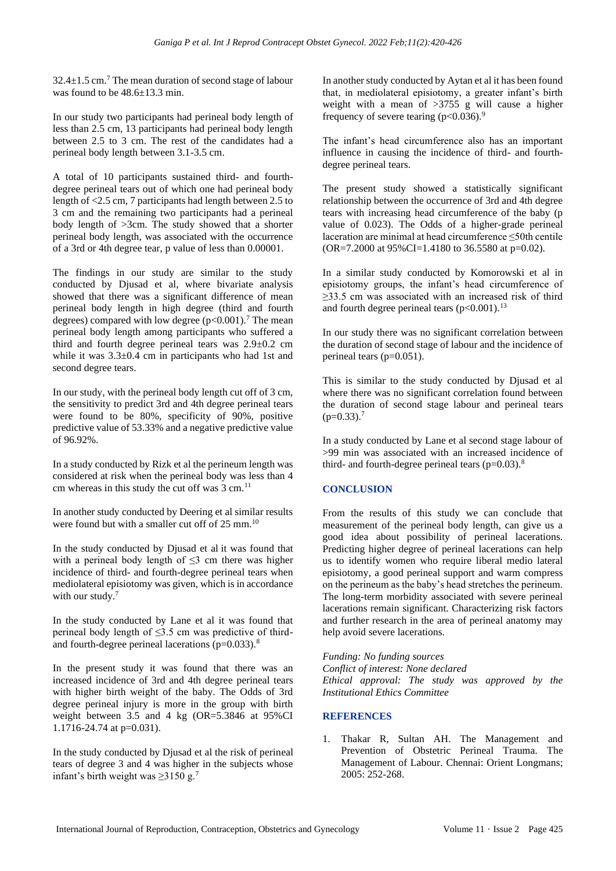$32.4 \pm 1.5$  cm.<sup>7</sup> The mean duration of second stage of labour was found to be  $48.6 \pm 13.3$  min.

In our study two participants had perineal body length of less than 2.5 cm, 13 participants had perineal body length between 2.5 to 3 cm. The rest of the candidates had a perineal body length between 3.1-3.5 cm.

A total of 10 participants sustained third- and fourthdegree perineal tears out of which one had perineal body length of <2.5 cm, 7 participants had length between 2.5 to 3 cm and the remaining two participants had a perineal body length of >3cm. The study showed that a shorter perineal body length, was associated with the occurrence of a 3rd or 4th degree tear, p value of less than 0.00001.

The findings in our study are similar to the study conducted by Djusad et al, where bivariate analysis showed that there was a significant difference of mean perineal body length in high degree (third and fourth degrees) compared with low degree  $(p<0.001)$ .<sup>7</sup> The mean perineal body length among participants who suffered a third and fourth degree perineal tears was 2.9±0.2 cm while it was  $3.3\pm0.4$  cm in participants who had 1st and second degree tears.

In our study, with the perineal body length cut off of 3 cm, the sensitivity to predict 3rd and 4th degree perineal tears were found to be 80%, specificity of 90%, positive predictive value of 53.33% and a negative predictive value of 96.92%.

In a study conducted by Rizk et al the perineum length was considered at risk when the perineal body was less than 4 cm whereas in this study the cut off was  $3 \text{ cm}$ .<sup>11</sup>

In another study conducted by Deering et al similar results were found but with a smaller cut off of 25 mm.<sup>10</sup>

In the study conducted by Djusad et al it was found that with a perineal body length of  $\leq$ 3 cm there was higher incidence of third- and fourth-degree perineal tears when mediolateral episiotomy was given, which is in accordance with our study.<sup>7</sup>

In the study conducted by Lane et al it was found that perineal body length of  $\leq$ 3.5 cm was predictive of thirdand fourth-degree perineal lacerations  $(p=0.033)$ .<sup>8</sup>

In the present study it was found that there was an increased incidence of 3rd and 4th degree perineal tears with higher birth weight of the baby. The Odds of 3rd degree perineal injury is more in the group with birth weight between 3.5 and 4 kg (OR=5.3846 at 95%CI 1.1716-24.74 at p=0.031).

In the study conducted by Djusad et al the risk of perineal tears of degree 3 and 4 was higher in the subjects whose infant's birth weight was  $\geq$ 3150 g.<sup>7</sup>

In another study conducted by Aytan et al it has been found that, in mediolateral episiotomy, a greater infant's birth weight with a mean of >3755 g will cause a higher frequency of severe tearing  $(p<0.036)$ .<sup>9</sup>

The infant's head circumference also has an important influence in causing the incidence of third- and fourthdegree perineal tears.

The present study showed a statistically significant relationship between the occurrence of 3rd and 4th degree tears with increasing head circumference of the baby (p value of 0.023). The Odds of a higher-grade perineal laceration are minimal at head circumference ≤50th centile (OR=7.2000 at 95%CI=1.4180 to 36.5580 at p=0.02).

In a similar study conducted by Komorowski et al in episiotomy groups, the infant's head circumference of ≥33.5 cm was associated with an increased risk of third and fourth degree perineal tears  $(p<0.001)$ .<sup>13</sup>

In our study there was no significant correlation between the duration of second stage of labour and the incidence of perineal tears (p=0.051).

This is similar to the study conducted by Djusad et al where there was no significant correlation found between the duration of second stage labour and perineal tears  $(p=0.33).$ <sup>7</sup>

In a study conducted by Lane et al second stage labour of >99 min was associated with an increased incidence of third- and fourth-degree perineal tears  $(p=0.03)$ .<sup>8</sup>

## **CONCLUSION**

From the results of this study we can conclude that measurement of the perineal body length, can give us a good idea about possibility of perineal lacerations. Predicting higher degree of perineal lacerations can help us to identify women who require liberal medio lateral episiotomy, a good perineal support and warm compress on the perineum as the baby's head stretches the perineum. The long-term morbidity associated with severe perineal lacerations remain significant. Characterizing risk factors and further research in the area of perineal anatomy may help avoid severe lacerations.

*Funding: No funding sources*

*Conflict of interest: None declared*

*Ethical approval: The study was approved by the Institutional Ethics Committee*

## **REFERENCES**

1. Thakar R, Sultan AH. The Management and Prevention of Obstetric Perineal Trauma. The Management of Labour. Chennai: Orient Longmans; 2005: 252-268.